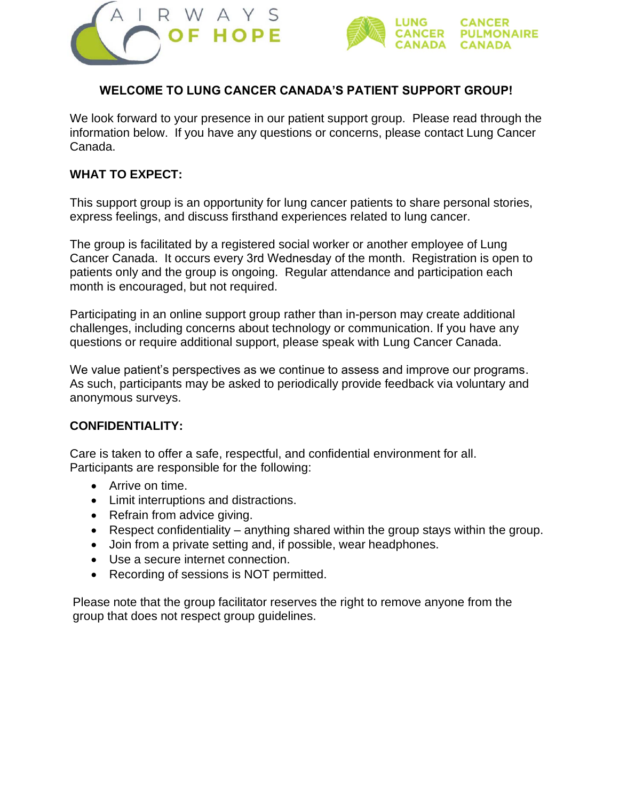



## **WELCOME TO LUNG CANCER CANADA'S PATIENT SUPPORT GROUP!**

We look forward to your presence in our patient support group. Please read through the information below. If you have any questions or concerns, please contact Lung Cancer Canada.

## **WHAT TO EXPECT:**

This support group is an opportunity for lung cancer patients to share personal stories, express feelings, and discuss firsthand experiences related to lung cancer.

The group is facilitated by a registered social worker or another employee of Lung Cancer Canada. It occurs every 3rd Wednesday of the month. Registration is open to patients only and the group is ongoing. Regular attendance and participation each month is encouraged, but not required.

Participating in an online support group rather than in-person may create additional challenges, including concerns about technology or communication. If you have any questions or require additional support, please speak with Lung Cancer Canada.

We value patient's perspectives as we continue to assess and improve our programs. As such, participants may be asked to periodically provide feedback via voluntary and anonymous surveys.

## **CONFIDENTIALITY:**

Care is taken to offer a safe, respectful, and confidential environment for all. Participants are responsible for the following:

- Arrive on time.
- Limit interruptions and distractions.
- Refrain from advice giving.
- Respect confidentiality anything shared within the group stays within the group.
- Join from a private setting and, if possible, wear headphones.
- Use a secure internet connection.
- Recording of sessions is NOT permitted.

Please note that the group facilitator reserves the right to remove anyone from the group that does not respect group guidelines.